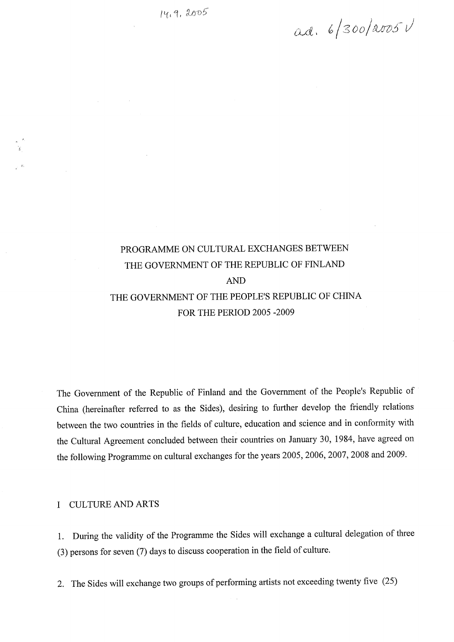$ad. 6/300/2005V$ 

# PROGRAMME ON CULTURAL EXCHANGES BETWEEN THE GOVERNMENT OF THE REPUBLIC OF FINLAND AND THE GOVERNMENT OF THE PEOPLES REPUBLIC OF CHINA FOR THE PERIOD 2005 -2009

The Government of the Republic of Finland and the Government of the People's Republic of China (hereinafter referred to as the Sides), desiring to further develop the friendly relations between the two countries in the fields of culture, education and science and in conformity with the Cultural Agreement concluded between their countries on January 30, 1984, have agreed on the following Programme on cultural exchanges for the years 2005, 2006,2007,2008 and 2009.

# l CULTURE AND ARTS

l. During the validity of the Programme the Sides will exchange a cultural delegation of three (3) persons for seven (7) days to discuss cooperation in the field of culture.

2. The Sides will exchange two groups of performing artists not exceeding twenty five (25)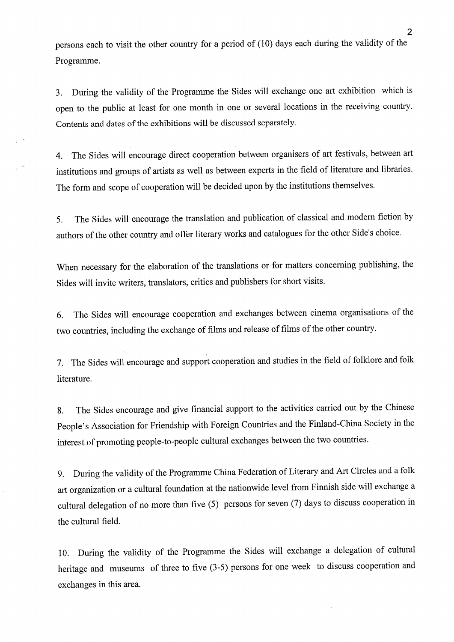persons each to visit the other country for a period of (10) days each during the validity of the Programme.

3. During the validity of the Programme the Sides will exchange one art exhibition which is open to the public at least for one month in one or several locations in the receiving country. Contents and dates of the exhibitions will be discussed separately.

4. The Sides will encourage direct cooperation between organisers of art festivals, between art institutions and groups of artists as weil as between experts in the field of literature and libraries. The form and scope of cooperation will be decided upon by the institutions themselves.

5. The Sides will encourage the translation and publication of classical and modern fiction by authors of the other country and offer literary works and catalogues for the other Side's choice.

When necessary for the elaboration of the translations or for matters concerning publishing, the Sides will invite writers, translators, critics and publishers for short visits.

6. The Sides will encourage cooperation and exchanges between cinema organisations of the two countries, including the exchange of films and release of films of the other country.

7. The Sides will encourage and support cooperation and Studies in the field of folklore and folk literature.

8. The Sides encourage and give financial support to the activities carried out by the Chinese People's Association for Friendship with Foreign Countries and the Finland-China Society in the interest of promoting people-to-people cultural exchanges between the two countries.

9. During the validity of the Programme China Federation of Literary and Art Circles and a folk art organization or a cultural foundation at the nationwide level from Fiimish side will exchange a cultural delegation of no more than five (5) persons for seven (7) days to discuss cooperation in the cultural field.

10. During the validity of the Programme the Sides will exchange a delegation of cultural heritage and museums of three to five (3-5) persons for one week to discuss cooperation and exchanges in this area.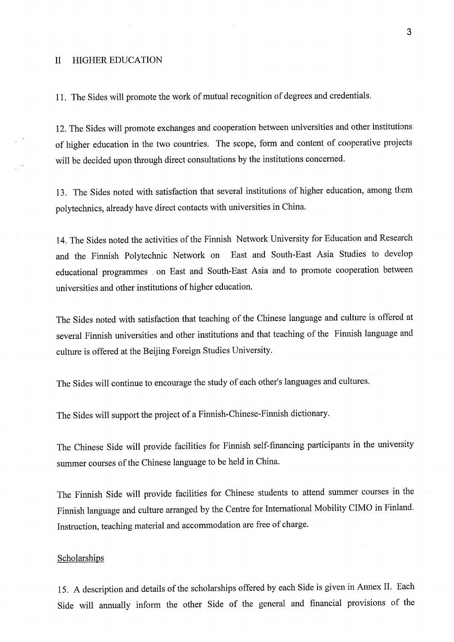#### II HIGHER EDUCATION

11. The Sides will promote the work of mutual recognition of degrees and credentials.

12. The Sides will promote exchanges and cooperation between universities and other institutions of higher education in the two countries. The scope, form and content of cooperative projects will be decided upon through direct consultations by the institutions concerned.

13. The Sides noted with satisfaction that several institutions of higher education, among them polytechnics, already have direct contacts with universities in China.

14. The Sides noted the activities of the Finnish Network University for Education and Research and the Finnish Polytechnic Network on East and South-East Asia Studies to develop educational programmes . on East and South-East Asia and to promote cooperation between universities and other institutions of higher education.

The Sides noted with satisfaction that teaching of the Chinese language and culture is offered at several Finnish universities and other institutions and that teaching of the Finnish language and culture is offered at the Beijing Foreign Studies University.

The Sides will continue to encourage the study of each other's languages and cultures.

The Sides will support the project of a Finnish-Chinese-Finnish dictionary.

The Chinese Side will provide facilities for Finnish self-fmancing participants in the university summer courses of the Chinese language to be held in China.

The Finnish Side will provide facilities for Chinese students to attend summer courses in the Finnish language and culture arranged by the Centre for International Mobility CIMO in Finland. Instruction, teaching material and accommodation are free of charge.

#### Scholarships

15. A description and details of the scholarships offered by each Side is given in Annex II. Each Side will annually inform the other Side of the general and financial provisions of the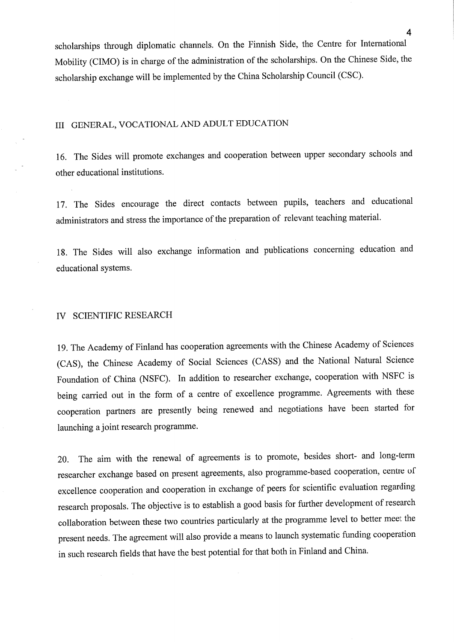scholarships through diplomatic channels. On the Finnish Side, the Centre for International Mobility (CIMO) is in charge of the administration of the scholarships. On the Chinese Side, the scholarship exchange will be implemented by the China Scholarship Council (CSC).

# III GENERAL, VOCATIONAL AND ADULT EDUCATION

16. The Sides will promote exchanges and cooperation between upper secondary schools and other educational institutions.

17. The Sides encourage the direct contacts between pupils, teachers and educational administrators and stress the importance of the preparation of relevant teaching material.

18. The Sides will also exchange information and publications concerning education and educational Systems.

## IV SCIENTIFIC RESEARCH

19. The Academy of Finland has cooperation agreements with the Chinese Academy of Sciences (CAS), the Chinese Academy of Social Sciences (CASS) and the National Natural Science Foundation of China (NSFC). In addition to researcher exchange, cooperation with NSFC is being carried out in the form of a centre of excellence programme. Agreements with these cooperation partners are presently being renewed and negotiations have been started for launching a joint research programme.

20. The aim with the renewal of agreements is to promote, besides short- and long-term researcher exchange based on present agreements, also programme-based cooperation, centre of excellence cooperation and cooperation in exchange of peers for scientific evaluation regarding research proposals. The objective is to establish a good basis for further development of research collaboration between these two countries particularly at the programme level to better meet the present needs. The agreement will also provide a means to launch systematic funding cooperation in such research fields that have the best potential for that both in Finland and China.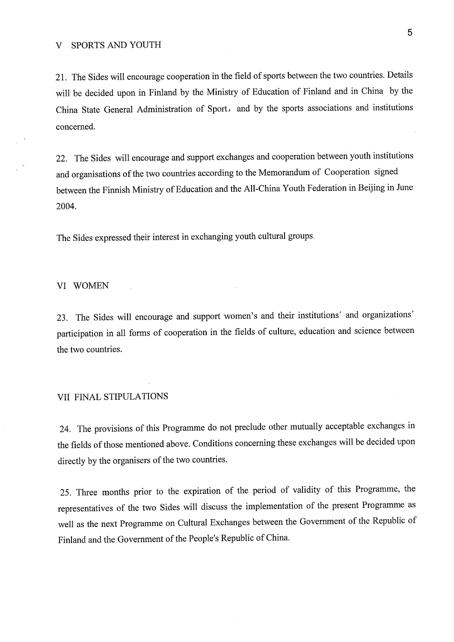21. The Sides will encourage cooperation in the field of sports between the two countries. Details will be decided upon in Finland by the Ministry of Education of Finland and in China by the China State General Administration of Sport, and by the sports associations and institutions concerned.

22. The Sides will encourage and support exchanges and cooperation between youth institutions and organisations of the two countries according to the Memorandum of Cooperation signed between the Finnish Ministry of Education and the All-China Youth Federation in Beijing in June 2004.

The Sides expressed their interest in exchanging youth cultural groups.

#### VI WOMEN

23. The Sides will encourage and support women's and their institutions' and organizations' participation in ali forms of cooperation in the fields of culture, education and science between the two countries.

# VII FINAL STIPULATIONS

24. The provisions of this Programme do not preclude other mutually acceptable exchanges in the fields of those mentioned above. Conditions concerning these exchanges will be decided upon directly by the organisers of the two countries.

25. Three months prior to the expiration of the period of validity of this Programme, the representatives of the two Sides will discuss the implementation of the present Programme as weil as the next Programme on Cultural Exchanges between the Govemment of the Republic of Finland and the Government of the People's Republic of China.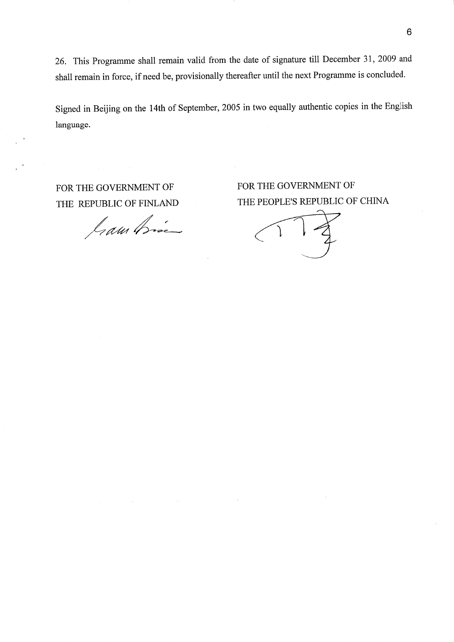26. This Programme shall remain valid from the date of signature tili December 31, 2009 and shall remain in force, if need be, provisionally thereafter until the next Programme is concluded.

Signed in Beijing on the 14th of September, 2005 in two equally authentic copies in the English language.

FOR THE GOVERNMENT OF THE REPUBLIC OF FINLAND

Jram Bisi

FOR THE GOVERNMENT OF THE PEOPLE'S REPUBLIC OF CHINA

 $\mathcal{L}$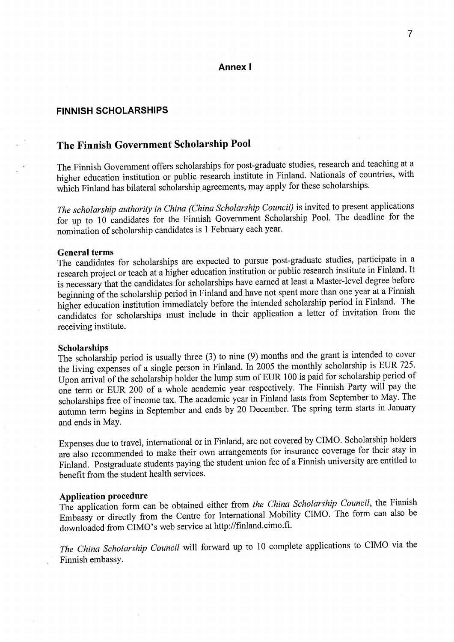# Annexl

# FINNISH SCHOLARSHIPS

# The Finnish Government Scholarship Pool

The Finnish Government offers scholarships for post-graduate studies, research and teaching at a higher education institution or public research institute in Finland. Nationals of countries, with which Finland has bilateral scholarship agreements, may apply for these scholarships.

The scholarship authority in China (China Scholarship Council) is invited to present applications for up to 10 candidates for the Finnish Government Scholarship Pool. The deadline for the nomination of scholarship candidates is l February each year.

General terms<br>The candidates for scholarships are expected to pursue post-graduate studies, participate in a ne candidates for scholarships are expected to pursue post-graduate studies, participate in research project or teach at a higher education institution or public research institute in Figure is necessary that the candidates for scholarships have earned at least a Master-level degree before beginning of the scholarship period in Finland and have not spent more than one year at a Finnish higher education institution immediately before the intended scholarship period m Finland. The candidates for scholarships must include in their application a letter of invitation from the receiving institute.

# Scholarships

the scholarship period is usually three (3) to nine (9) months and the grant is  $\frac{1}{100}$   $\frac{1}{100}$   $\frac{1}{200}$ the living expenses of a single person in Finland. In 2005 the monthly scholarship is EUR 725. Upon arrival of the scholarship holder the lump sum of EUR 100 is paid for scholarship period of one term or EUR 200 of a whole academic year respectively. The Finnish Party will pay the scholarships free of income tax. The academic year in Finland lasts from September to May. The autumn term begins in September and ends by 20 December. The spring term starts in January and ends in May.

Expenses due to travel, international or in Finland, are not covered by CIMO. Scholarship holders are also recommended to make their own arrangements for insurance coverage for their stay in Finland. Postgraduate students paying the student union fee of a Finnish university are entitled to benefit from the student health services.

# Application procedure

The application form can be obtained either from the China Scholarship Council, the Figure of  $\frac{1}{2}$ Embassy or directly from the Centre for International Mobility CIMO. The form can also be downloaded from CIMO's web service at http://finland.cimo.fi.

The China Scholarship Council will forward up to 10 complete applications to CIMO via the Finnish embassy.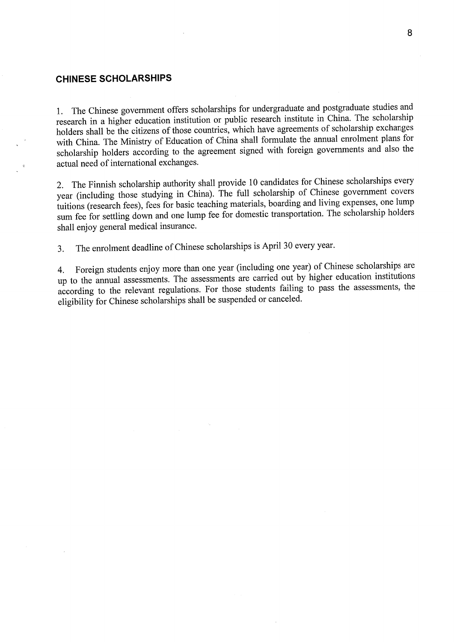# CHINESE SCHOLARSHIPS

1. The Chinese government offers scholarships for undergraduate and postgraduate studies and research in a higher education institution or public research institute in China. The scholarship 1. holders shall be the citizens of those countries, which have agreements of scholarship exchanges with China. The Ministry of Education of China shall formulate the annual enrolment plans for  $\mu$  China. The Ministry of Education of China shall formulate the annual enrolment plans for  $\mu$ notarship holders according to the agreement signed with foreign governments and actual need of international exchanges.

1 he Finnish scholarship authority shall provide 10 candidates for Chinese scholarships every  $\gamma$ ear (including those studying in China). The full scholarship of China superson and limit tutions (research fees), fees for basic teaching materials, boarding when the sphere helenaching belong im fee for settling down and one rump fee for domestic transportation. The school of shall enjoy general medical insurance.

3. The enrolment deadline of Chinese scholarships is April 30 every year.

4. Foreign students enjoy more than one year (including one year) of Chinese scholarships are p to the annual assessments. The assessments are carried out by ingless the concernents the cording to the relevant regulations. For those students failing to pass the assessment eligibility for Chinese scholarships shall be suspended or canceled.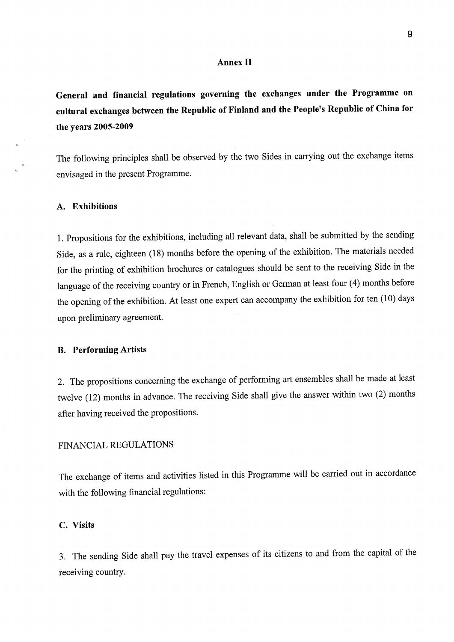#### **Annex II**

General and financial regulations governing the exchanges under the Programme on cultural exchanges between the Republic of Finland and the People's Republic of China for the years 2005-2009

The following principles shall be observed by the two Sides in carrying out the exchange items envisaged in the present Programme.

# A. Exhibitions

l. Propositions for the exhibitions, including ali relevant data, shall be submitted by the sending Side, as a rule, eighteen (18) months before the opening of the exhibition. The materials needed for the printing of exhibition brochures or catalogues should be sent to the receiving Side in the language of the receiving country or in French, English or German at least four (4) months before the opening of the exhibition. At least one expert can accompany the exhibition for ten (10) days upon preliminary agreement.

# B. Performing Artists

2. The propositions concerning the exchange of performing art ensembles shall be made at least twelve (12) months in advance. The receiving Side shall give the answer within two (2) months after having received the propositions.

## FINANCIAL REGULATIONS

The exchange of items and activities listed in this Programme will be carried out in accordance with the following financial regulations:

# C. Visits

3. The sending Side shall pay the travel expenses of its citizens to and from the capital of the receiving country.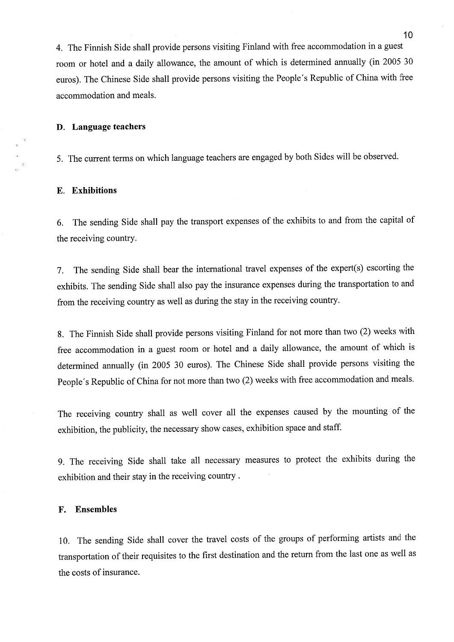4. The Finnish Side shall provide persons visiting Finland with free accommodation in a guest room or hotel and a daily allowance, the amount of which is determined annually (in 2005 30 euros). The Chinese Side shall provide persons visiting the People's Republic of China with free accommodation and meals.

## D. Language teachers

5. The current terms on which language teachers are engaged by both Sides will be observed.

# E. Exhibitions

6. The sending Side shall pay the transport expenses of the exhibits to and from the capital of the receiving country.

7. The sending Side shall bear the international travel expenses of the expert(s) escorting the exhibits. The sending Side shall also pay the insurance expenses during the transportation to and from the receiving country as weil as during the stay in the receiving country.

8. The Finnish Side shall provide persons visiting Finland for not more than two (2) weeks with free accommodation in a guest room or hotel and a daily allowance, the amount of which is determined annually (in 2005 30 euros). The Chinese Side shall provide persons visiting the People's Republic of China for not more than two (2) weeks with free accommodation and meals.

The receiving country shall as weil cover ali the expenses caused by the mounting of the exhibition, the publicity, the necessary show cases, exhibition space and staff.

9. The receiving Side shall take ali necessary measures to protect the exhibits during the exhibition and their stay in the receiving country .

# F. Ensembles

10. The sending Side shall cover the travel costs of the groups of performing artists and the transportation of their requisites to the first destination and the return from the last one as weil as the costs of insurance.